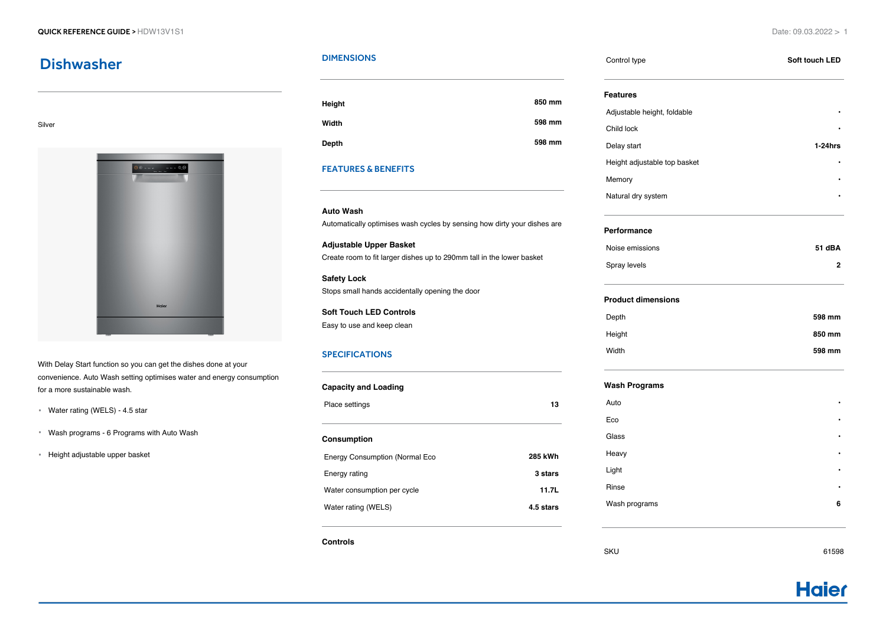## **Dishwasher**

#### Silver



With Delay Start function so you can get the dishes done at your convenience. Auto Wash setting optimises water and energy consumption for a more sustainable wash.

- Water rating (WELS) 4.5 star
- Wash programs 6 Programs with Auto Wash
- Height adjustable upper basket

#### **DIMENSIONS**

| Height | 850 mm |
|--------|--------|
| Width  | 598 mm |
| Depth  | 598 mm |

### FEATURES & BENEFITS

# **Auto Wash**

Automatically optimises wash cycles by sensing how dirty your dishes are

**Adjustable Upper Basket** Create room to fit larger dishes up to 290mm tall in the lower basket

**Safety Lock** Stops small hands accidentally opening the door

**Soft Touch LED Controls** Easy to use and keep clean

#### SPECIFICATIONS

| <b>Capacity and Loading</b>           |           |
|---------------------------------------|-----------|
| Place settings                        | 13        |
| Consumption                           |           |
| <b>Energy Consumption (Normal Eco</b> | 285 kWh   |
| Energy rating                         | 3 stars   |
| Water consumption per cycle           | 11.7L     |
| Water rating (WELS)                   | 4.5 stars |

**Controls**

| Control type                 | Soft touch LED   |
|------------------------------|------------------|
| <b>Features</b>              |                  |
| Adjustable height, foldable  |                  |
| Child lock                   |                  |
| Delay start                  | $1-24$ hrs       |
| Height adjustable top basket |                  |
| Memory                       |                  |
| Natural dry system           |                  |
| Performance                  |                  |
| Noise emissions              | 51 dBA           |
| Spray levels                 |                  |
| <b>Product dimensions</b>    |                  |
| Depth                        | 598 mm           |
|                              |                  |
| Height                       |                  |
| Width                        |                  |
| <b>Wash Programs</b>         |                  |
| Auto                         |                  |
| Eco                          |                  |
| Glass                        |                  |
| Heavy                        |                  |
| Light                        |                  |
| Rinse                        | 850 mm<br>598 mm |